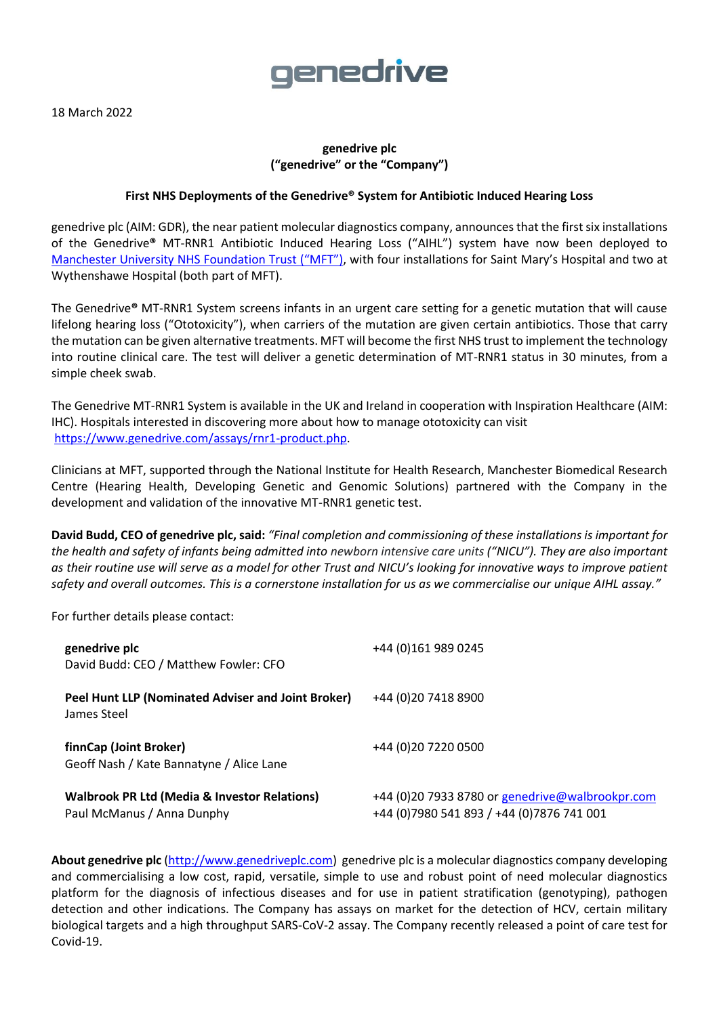# genedrive

### **genedrive plc ("genedrive" or the "Company")**

#### **First NHS Deployments of the Genedrive® System for Antibiotic Induced Hearing Loss**

genedrive plc (AIM: GDR), the near patient molecular diagnostics company, announces that the first six installations of the Genedrive**®** MT-RNR1 Antibiotic Induced Hearing Loss ("AIHL") system have now been deployed to [Manchester University NHS Foundation Trust \(](https://mft.nhs.uk/)"MFT"), with four installations for Saint Mary's Hospital and two at Wythenshawe Hospital (both part of MFT).

The Genedrive**®** MT-RNR1 System screens infants in an urgent care setting for a genetic mutation that will cause lifelong hearing loss ("Ototoxicity"), when carriers of the mutation are given certain antibiotics. Those that carry the mutation can be given alternative treatments. MFT will become the first NHS trust to implement the technology into routine clinical care. The test will deliver a genetic determination of MT-RNR1 status in 30 minutes, from a simple cheek swab.

The Genedrive MT-RNR1 System is available in the UK and Ireland in cooperation with Inspiration Healthcare (AIM: IHC). Hospitals interested in discovering more about how to manage ototoxicity can visit [https://www.genedrive.com/assays/rnr1-product.php.](https://www.genedrive.com/assays/rnr1-product.php)

Clinicians at MFT, supported through the National Institute for Health Research, Manchester Biomedical Research Centre (Hearing Health, Developing Genetic and Genomic Solutions) partnered with the Company in the development and validation of the innovative MT-RNR1 genetic test.

**David Budd, CEO of genedrive plc, said:** *"Final completion and commissioning of these installations is important for the health and safety of infants being admitted into newborn intensive care units ("NICU"). They are also important as their routine use will serve as a model for other Trust and NICU's looking for innovative ways to improve patient safety and overall outcomes. This is a cornerstone installation for us as we commercialise our unique AIHL assay."* 

For further details please contact:

| genedrive plc<br>David Budd: CEO / Matthew Fowler: CFO                                | +44 (0) 161 989 0245                                                                           |
|---------------------------------------------------------------------------------------|------------------------------------------------------------------------------------------------|
| Peel Hunt LLP (Nominated Adviser and Joint Broker)<br>James Steel                     | +44 (0) 20 7418 8900                                                                           |
| finnCap (Joint Broker)<br>Geoff Nash / Kate Bannatyne / Alice Lane                    | +44 (0) 20 72 20 05 00                                                                         |
| <b>Walbrook PR Ltd (Media &amp; Investor Relations)</b><br>Paul McManus / Anna Dunphy | +44 (0)20 7933 8780 or genedrive@walbrookpr.com<br>+44 (0) 7980 541 893 / +44 (0) 7876 741 001 |

**About genedrive plc** [\(http://www.genedriveplc.com\)](http://www.genedriveplc.com/) genedrive plc is a molecular diagnostics company developing and commercialising a low cost, rapid, versatile, simple to use and robust point of need molecular diagnostics platform for the diagnosis of infectious diseases and for use in patient stratification (genotyping), pathogen detection and other indications. The Company has assays on market for the detection of HCV, certain military biological targets and a high throughput SARS-CoV-2 assay. The Company recently released a point of care test for Covid-19.